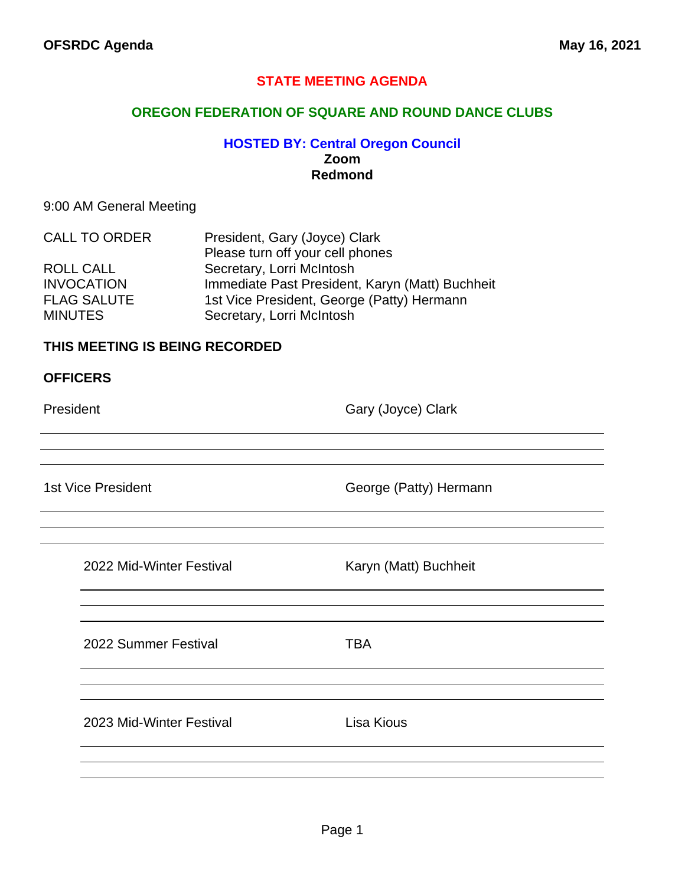## **STATE MEETING AGENDA**

### **OREGON FEDERATION OF SQUARE AND ROUND DANCE CLUBS**

## **HOSTED BY: Central Oregon Council Zoom Redmond**

### 9:00 AM General Meeting

| <b>CALL TO ORDER</b> | President, Gary (Joyce) Clark                   |
|----------------------|-------------------------------------------------|
|                      | Please turn off your cell phones                |
| <b>ROLL CALL</b>     | Secretary, Lorri McIntosh                       |
| <b>INVOCATION</b>    | Immediate Past President, Karyn (Matt) Buchheit |
| <b>FLAG SALUTE</b>   | 1st Vice President, George (Patty) Hermann      |
| <b>MINUTES</b>       | Secretary, Lorri McIntosh                       |

### **THIS MEETING IS BEING RECORDED**

| <b>OFFICERS</b> |  |
|-----------------|--|
|-----------------|--|

President **Gary (Joyce)** Clark

1st Vice President **George (Patty)** Hermann

| 2022 Mid-Winter Festival |
|--------------------------|
|                          |

Karyn (Matt) Buchheit

2022 Summer Festival **TBA** 

2023 Mid-Winter Festival Lisa Kious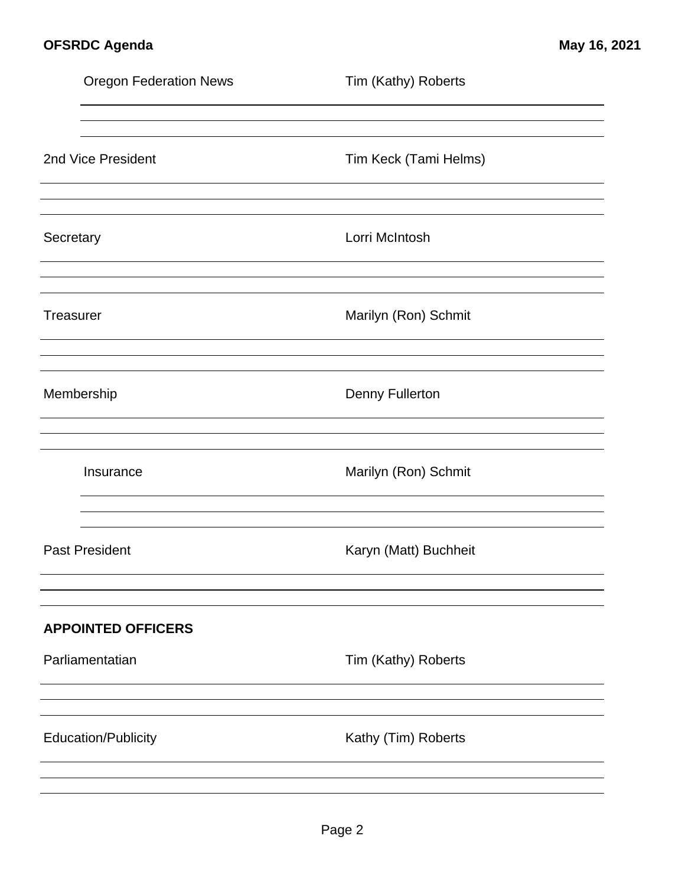|                  | <b>Oregon Federation News</b> | Tim (Kathy) Roberts    |
|------------------|-------------------------------|------------------------|
|                  |                               |                        |
|                  | 2nd Vice President            | Tim Keck (Tami Helms)  |
| Secretary        |                               | Lorri McIntosh         |
| <b>Treasurer</b> |                               | Marilyn (Ron) Schmit   |
|                  | Membership                    | <b>Denny Fullerton</b> |
|                  | Insurance                     | Marilyn (Ron) Schmit   |
|                  | <b>Past President</b>         | Karyn (Matt) Buchheit  |
|                  | <b>APPOINTED OFFICERS</b>     |                        |
|                  | Parliamentatian               | Tim (Kathy) Roberts    |
|                  | <b>Education/Publicity</b>    | Kathy (Tim) Roberts    |
|                  |                               |                        |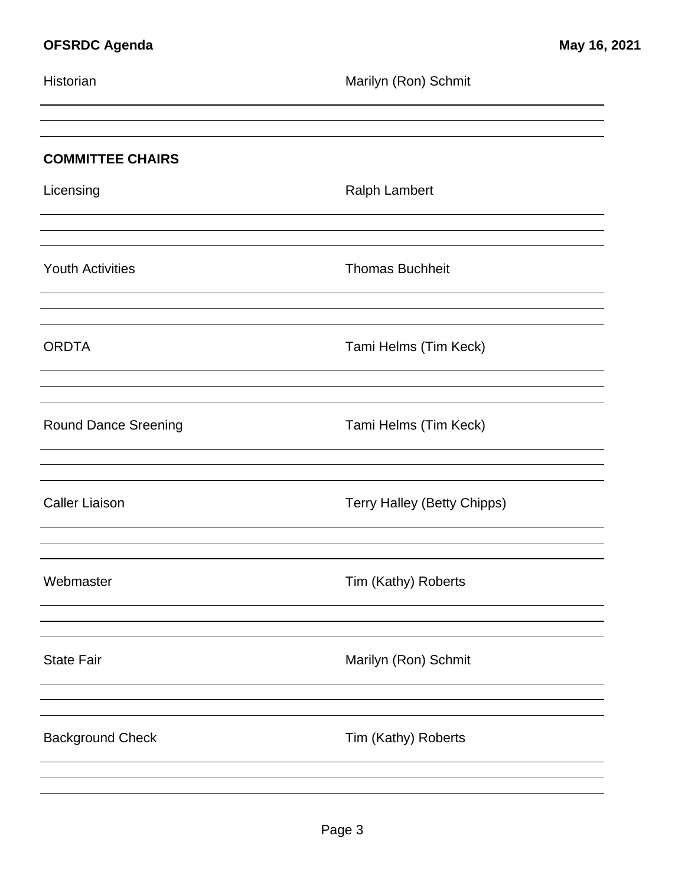| Historian                   | Marilyn (Ron) Schmit               |
|-----------------------------|------------------------------------|
|                             |                                    |
| <b>COMMITTEE CHAIRS</b>     |                                    |
| Licensing                   | <b>Ralph Lambert</b>               |
|                             |                                    |
| <b>Youth Activities</b>     | <b>Thomas Buchheit</b>             |
|                             |                                    |
| <b>ORDTA</b>                | Tami Helms (Tim Keck)              |
|                             |                                    |
| <b>Round Dance Sreening</b> | Tami Helms (Tim Keck)              |
|                             |                                    |
| <b>Caller Liaison</b>       | <b>Terry Halley (Betty Chipps)</b> |
|                             |                                    |
| Webmaster                   | Tim (Kathy) Roberts                |
|                             |                                    |
| <b>State Fair</b>           | Marilyn (Ron) Schmit               |
|                             |                                    |
| <b>Background Check</b>     | Tim (Kathy) Roberts                |
|                             |                                    |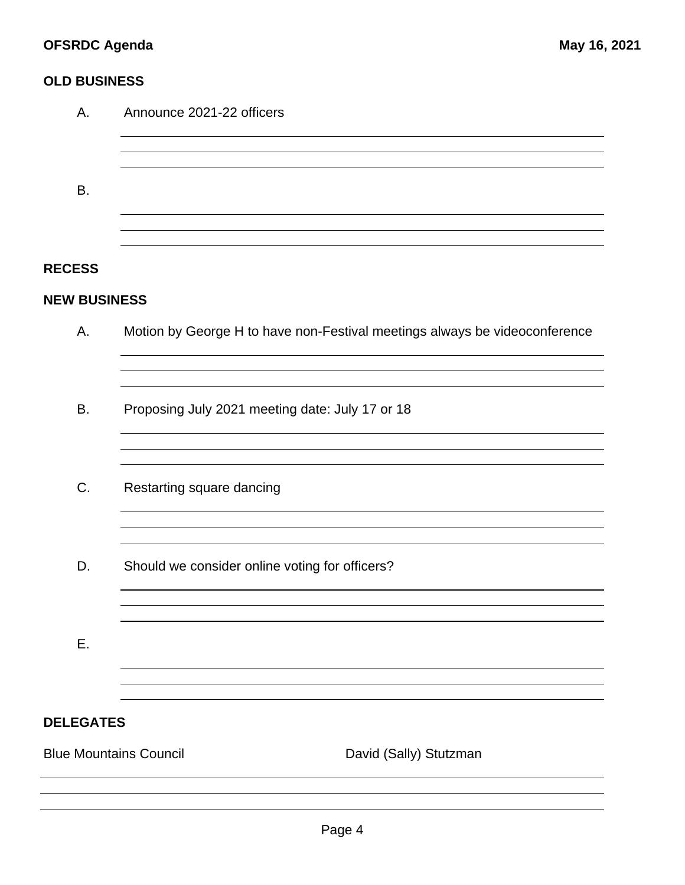## **OLD BUSINESS**

| А.                            | Announce 2021-22 officers                                                  |  |  |  |
|-------------------------------|----------------------------------------------------------------------------|--|--|--|
| <b>B.</b>                     |                                                                            |  |  |  |
| <b>RECESS</b>                 |                                                                            |  |  |  |
| <b>NEW BUSINESS</b>           |                                                                            |  |  |  |
| Α.                            | Motion by George H to have non-Festival meetings always be videoconference |  |  |  |
|                               |                                                                            |  |  |  |
| <b>B.</b>                     | Proposing July 2021 meeting date: July 17 or 18                            |  |  |  |
| C.                            | Restarting square dancing                                                  |  |  |  |
| D.                            | Should we consider online voting for officers?                             |  |  |  |
| Ε.                            |                                                                            |  |  |  |
| <b>DELEGATES</b>              |                                                                            |  |  |  |
| <b>Blue Mountains Council</b> | David (Sally) Stutzman                                                     |  |  |  |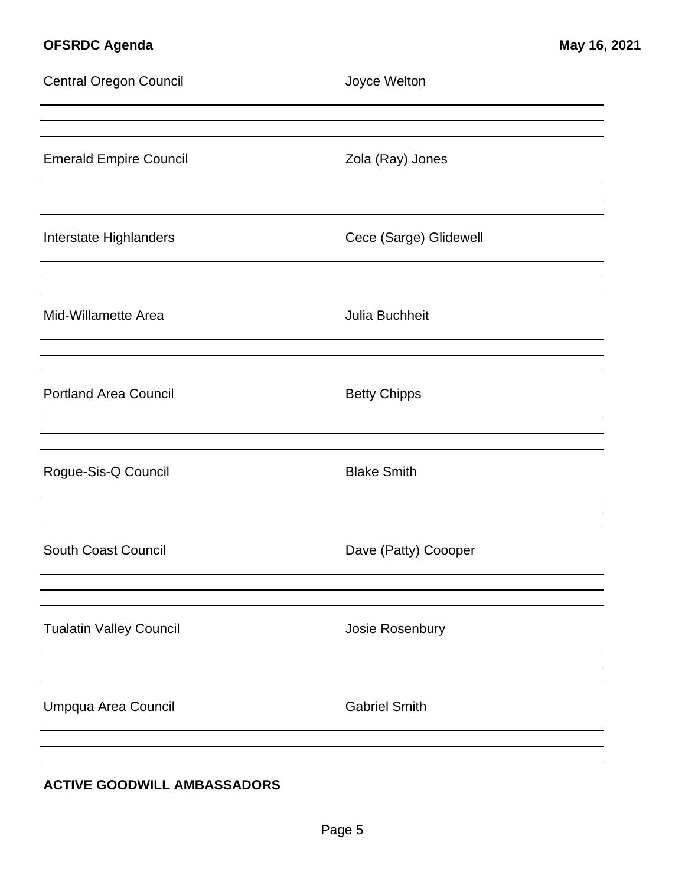# **OFSRDC Agenda May 16, 2021**

| <b>Central Oregon Council</b>  | Joyce Welton           |
|--------------------------------|------------------------|
| <b>Emerald Empire Council</b>  | Zola (Ray) Jones       |
| Interstate Highlanders         | Cece (Sarge) Glidewell |
| Mid-Willamette Area            | Julia Buchheit         |
| <b>Portland Area Council</b>   | <b>Betty Chipps</b>    |
| Rogue-Sis-Q Council            | <b>Blake Smith</b>     |
| <b>South Coast Council</b>     | Dave (Patty) Coooper   |
| <b>Tualatin Valley Council</b> | Josie Rosenbury        |
| Umpqua Area Council            | <b>Gabriel Smith</b>   |
|                                |                        |

## **ACTIVE GOODWILL AMBASSADORS**